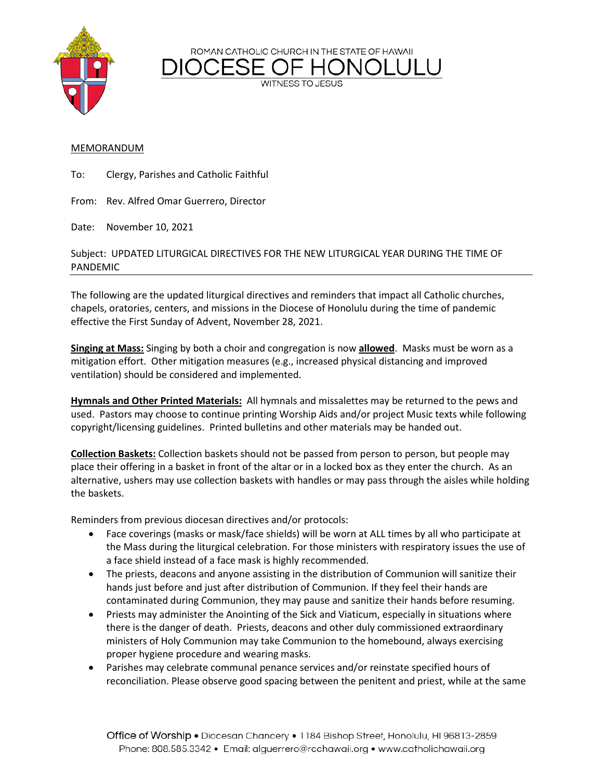ROMAN CATHOLIC CHURCH IN THE STATE OF HAWAII



**WITNESS TO JESUS** 

## MEMORANDUM

To: Clergy, Parishes and Catholic Faithful

From: Rev. Alfred Omar Guerrero, Director

Date: November 10, 2021

## Subject: UPDATED LITURGICAL DIRECTIVES FOR THE NEW LITURGICAL YEAR DURING THE TIME OF PANDEMIC

The following are the updated liturgical directives and reminders that impact all Catholic churches, chapels, oratories, centers, and missions in the Diocese of Honolulu during the time of pandemic effective the First Sunday of Advent, November 28, 2021.

**Singing at Mass:** Singing by both a choir and congregation is now **allowed**. Masks must be worn as a mitigation effort. Other mitigation measures (e.g., increased physical distancing and improved ventilation) should be considered and implemented.

**Hymnals and Other Printed Materials:** All hymnals and missalettes may be returned to the pews and used. Pastors may choose to continue printing Worship Aids and/or project Music texts while following copyright/licensing guidelines. Printed bulletins and other materials may be handed out.

**Collection Baskets:** Collection baskets should not be passed from person to person, but people may place their offering in a basket in front of the altar or in a locked box as they enter the church. As an alternative, ushers may use collection baskets with handles or may pass through the aisles while holding the baskets.

Reminders from previous diocesan directives and/or protocols:

- Face coverings (masks or mask/face shields) will be worn at ALL times by all who participate at the Mass during the liturgical celebration. For those ministers with respiratory issues the use of a face shield instead of a face mask is highly recommended.
- The priests, deacons and anyone assisting in the distribution of Communion will sanitize their hands just before and just after distribution of Communion. If they feel their hands are contaminated during Communion, they may pause and sanitize their hands before resuming.
- Priests may administer the Anointing of the Sick and Viaticum, especially in situations where there is the danger of death. Priests, deacons and other duly commissioned extraordinary ministers of Holy Communion may take Communion to the homebound, always exercising proper hygiene procedure and wearing masks.
- Parishes may celebrate communal penance services and/or reinstate specified hours of reconciliation. Please observe good spacing between the penitent and priest, while at the same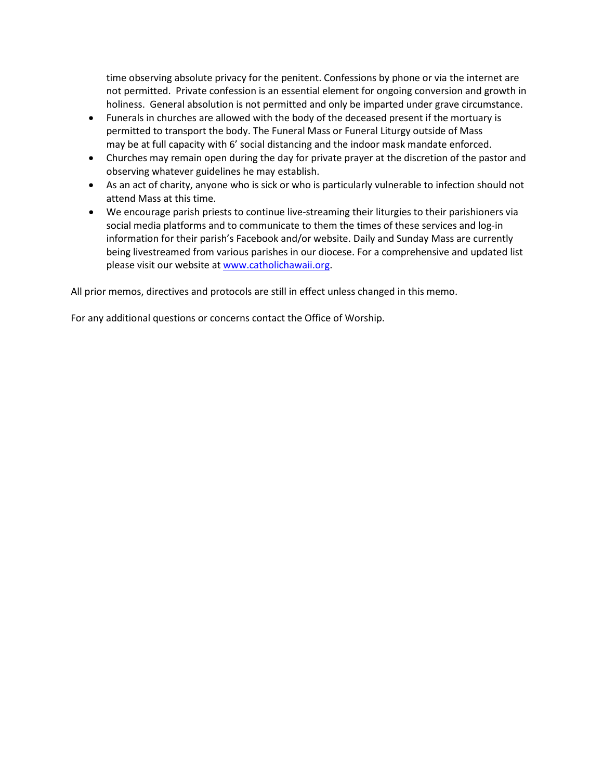time observing absolute privacy for the penitent. Confessions by phone or via the internet are not permitted. Private confession is an essential element for ongoing conversion and growth in holiness. General absolution is not permitted and only be imparted under grave circumstance.

- Funerals in churches are allowed with the body of the deceased present if the mortuary is permitted to transport the body. The Funeral Mass or Funeral Liturgy outside of Mass may be at full capacity with 6' social distancing and the indoor mask mandate enforced.
- Churches may remain open during the day for private prayer at the discretion of the pastor and observing whatever guidelines he may establish.
- As an act of charity, anyone who is sick or who is particularly vulnerable to infection should not attend Mass at this time.
- We encourage parish priests to continue live-streaming their liturgies to their parishioners via social media platforms and to communicate to them the times of these services and log-in information for their parish's Facebook and/or website. Daily and Sunday Mass are currently being livestreamed from various parishes in our diocese. For a comprehensive and updated list please visit our website a[t www.catholichawaii.org.](http://www.catholichawaii.org/)

All prior memos, directives and protocols are still in effect unless changed in this memo.

For any additional questions or concerns contact the Office of Worship.